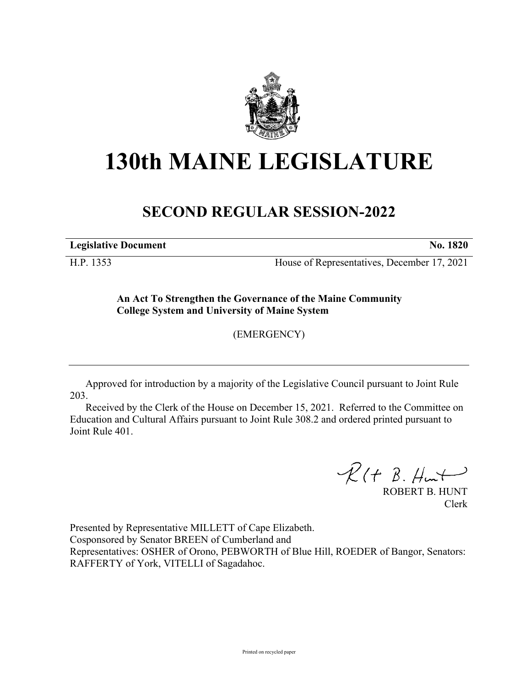

# **130th MAINE LEGISLATURE**

# **SECOND REGULAR SESSION-2022**

**Legislative Document No. 1820**

H.P. 1353 House of Representatives, December 17, 2021

**An Act To Strengthen the Governance of the Maine Community College System and University of Maine System**

(EMERGENCY)

Approved for introduction by a majority of the Legislative Council pursuant to Joint Rule 203.

Received by the Clerk of the House on December 15, 2021. Referred to the Committee on Education and Cultural Affairs pursuant to Joint Rule 308.2 and ordered printed pursuant to Joint Rule 401.

 $R(H B. H<sup>u</sup>)$ 

ROBERT B. HUNT Clerk

Presented by Representative MILLETT of Cape Elizabeth. Cosponsored by Senator BREEN of Cumberland and Representatives: OSHER of Orono, PEBWORTH of Blue Hill, ROEDER of Bangor, Senators: RAFFERTY of York, VITELLI of Sagadahoc.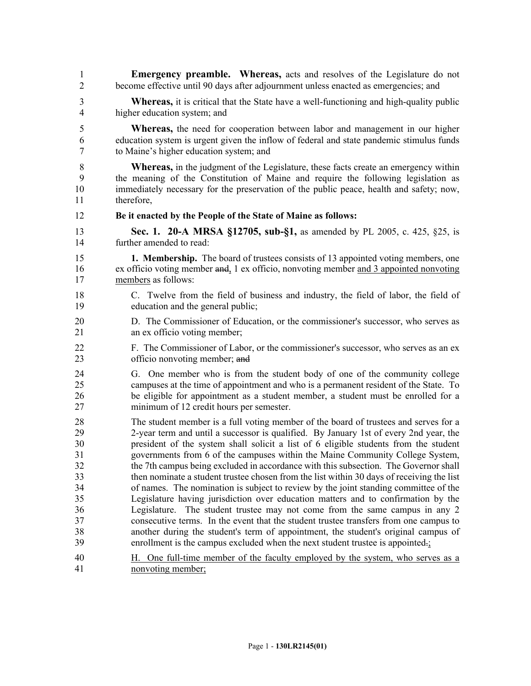| 1                                                                    | Emergency preamble. Whereas, acts and resolves of the Legislature do not                                                                                                                                                                                                                                                                                                                                                                                                                                                                                                                                                                                                                                                                                                                                                                                                                                                                                                                                                                                                   |
|----------------------------------------------------------------------|----------------------------------------------------------------------------------------------------------------------------------------------------------------------------------------------------------------------------------------------------------------------------------------------------------------------------------------------------------------------------------------------------------------------------------------------------------------------------------------------------------------------------------------------------------------------------------------------------------------------------------------------------------------------------------------------------------------------------------------------------------------------------------------------------------------------------------------------------------------------------------------------------------------------------------------------------------------------------------------------------------------------------------------------------------------------------|
| $\overline{2}$                                                       | become effective until 90 days after adjournment unless enacted as emergencies; and                                                                                                                                                                                                                                                                                                                                                                                                                                                                                                                                                                                                                                                                                                                                                                                                                                                                                                                                                                                        |
| 3                                                                    | <b>Whereas,</b> it is critical that the State have a well-functioning and high-quality public                                                                                                                                                                                                                                                                                                                                                                                                                                                                                                                                                                                                                                                                                                                                                                                                                                                                                                                                                                              |
| $\overline{4}$                                                       | higher education system; and                                                                                                                                                                                                                                                                                                                                                                                                                                                                                                                                                                                                                                                                                                                                                                                                                                                                                                                                                                                                                                               |
| 5                                                                    | <b>Whereas</b> , the need for cooperation between labor and management in our higher                                                                                                                                                                                                                                                                                                                                                                                                                                                                                                                                                                                                                                                                                                                                                                                                                                                                                                                                                                                       |
| 6                                                                    | education system is urgent given the inflow of federal and state pandemic stimulus funds                                                                                                                                                                                                                                                                                                                                                                                                                                                                                                                                                                                                                                                                                                                                                                                                                                                                                                                                                                                   |
| 7                                                                    | to Maine's higher education system; and                                                                                                                                                                                                                                                                                                                                                                                                                                                                                                                                                                                                                                                                                                                                                                                                                                                                                                                                                                                                                                    |
| 8                                                                    | <b>Whereas,</b> in the judgment of the Legislature, these facts create an emergency within                                                                                                                                                                                                                                                                                                                                                                                                                                                                                                                                                                                                                                                                                                                                                                                                                                                                                                                                                                                 |
| 9                                                                    | the meaning of the Constitution of Maine and require the following legislation as                                                                                                                                                                                                                                                                                                                                                                                                                                                                                                                                                                                                                                                                                                                                                                                                                                                                                                                                                                                          |
| 10                                                                   | immediately necessary for the preservation of the public peace, health and safety; now,                                                                                                                                                                                                                                                                                                                                                                                                                                                                                                                                                                                                                                                                                                                                                                                                                                                                                                                                                                                    |
| 11                                                                   | therefore,                                                                                                                                                                                                                                                                                                                                                                                                                                                                                                                                                                                                                                                                                                                                                                                                                                                                                                                                                                                                                                                                 |
| 12                                                                   | Be it enacted by the People of the State of Maine as follows:                                                                                                                                                                                                                                                                                                                                                                                                                                                                                                                                                                                                                                                                                                                                                                                                                                                                                                                                                                                                              |
| 13                                                                   | Sec. 1. 20-A MRSA §12705, sub-§1, as amended by PL 2005, c. 425, §25, is                                                                                                                                                                                                                                                                                                                                                                                                                                                                                                                                                                                                                                                                                                                                                                                                                                                                                                                                                                                                   |
| 14                                                                   | further amended to read:                                                                                                                                                                                                                                                                                                                                                                                                                                                                                                                                                                                                                                                                                                                                                                                                                                                                                                                                                                                                                                                   |
| 15                                                                   | <b>1. Membership.</b> The board of trustees consists of 13 appointed voting members, one                                                                                                                                                                                                                                                                                                                                                                                                                                                                                                                                                                                                                                                                                                                                                                                                                                                                                                                                                                                   |
| 16                                                                   | ex officio voting member and, 1 ex officio, nonvoting member and 3 appointed nonvoting                                                                                                                                                                                                                                                                                                                                                                                                                                                                                                                                                                                                                                                                                                                                                                                                                                                                                                                                                                                     |
| 17                                                                   | members as follows:                                                                                                                                                                                                                                                                                                                                                                                                                                                                                                                                                                                                                                                                                                                                                                                                                                                                                                                                                                                                                                                        |
| 18                                                                   | C. Twelve from the field of business and industry, the field of labor, the field of                                                                                                                                                                                                                                                                                                                                                                                                                                                                                                                                                                                                                                                                                                                                                                                                                                                                                                                                                                                        |
| 19                                                                   | education and the general public;                                                                                                                                                                                                                                                                                                                                                                                                                                                                                                                                                                                                                                                                                                                                                                                                                                                                                                                                                                                                                                          |
| 20                                                                   | D. The Commissioner of Education, or the commissioner's successor, who serves as                                                                                                                                                                                                                                                                                                                                                                                                                                                                                                                                                                                                                                                                                                                                                                                                                                                                                                                                                                                           |
| 21                                                                   | an ex officio voting member;                                                                                                                                                                                                                                                                                                                                                                                                                                                                                                                                                                                                                                                                                                                                                                                                                                                                                                                                                                                                                                               |
| 22                                                                   | F. The Commissioner of Labor, or the commissioner's successor, who serves as an ex-                                                                                                                                                                                                                                                                                                                                                                                                                                                                                                                                                                                                                                                                                                                                                                                                                                                                                                                                                                                        |
| 23                                                                   | officio nonvoting member; and                                                                                                                                                                                                                                                                                                                                                                                                                                                                                                                                                                                                                                                                                                                                                                                                                                                                                                                                                                                                                                              |
| 24<br>25<br>26<br>27                                                 | One member who is from the student body of one of the community college<br>G.<br>campuses at the time of appointment and who is a permanent resident of the State. To<br>be eligible for appointment as a student member, a student must be enrolled for a<br>minimum of 12 credit hours per semester.                                                                                                                                                                                                                                                                                                                                                                                                                                                                                                                                                                                                                                                                                                                                                                     |
| 28<br>29<br>30<br>31<br>32<br>33<br>34<br>35<br>36<br>37<br>38<br>39 | The student member is a full voting member of the board of trustees and serves for a<br>2-year term and until a successor is qualified. By January 1st of every 2nd year, the<br>president of the system shall solicit a list of 6 eligible students from the student<br>governments from 6 of the campuses within the Maine Community College System,<br>the 7th campus being excluded in accordance with this subsection. The Governor shall<br>then nominate a student trustee chosen from the list within 30 days of receiving the list<br>of names. The nomination is subject to review by the joint standing committee of the<br>Legislature having jurisdiction over education matters and to confirmation by the<br>The student trustee may not come from the same campus in any 2<br>Legislature.<br>consecutive terms. In the event that the student trustee transfers from one campus to<br>another during the student's term of appointment, the student's original campus of<br>enrollment is the campus excluded when the next student trustee is appointed. |
| 40                                                                   | H. One full-time member of the faculty employed by the system, who serves as a                                                                                                                                                                                                                                                                                                                                                                                                                                                                                                                                                                                                                                                                                                                                                                                                                                                                                                                                                                                             |
| 41                                                                   | nonvoting member;                                                                                                                                                                                                                                                                                                                                                                                                                                                                                                                                                                                                                                                                                                                                                                                                                                                                                                                                                                                                                                                          |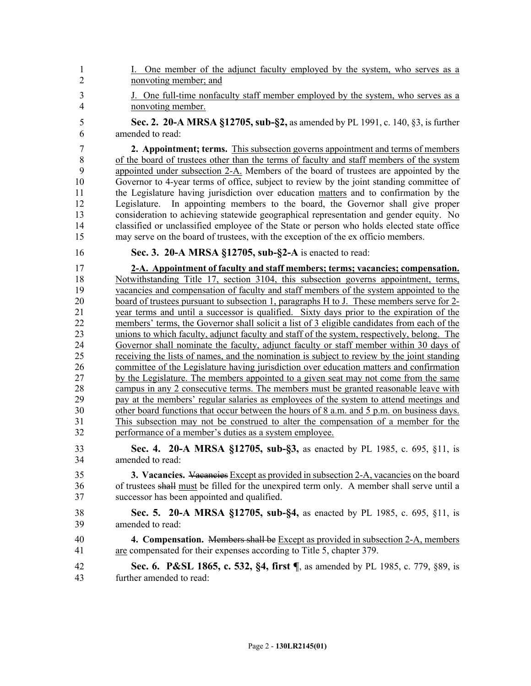- 1 I. One member of the adjunct faculty employed by the system, who serves as a 2 nonvoting member; and
- 3 J. One full-time nonfaculty staff member employed by the system, who serves as a 4 nonvoting member.
- 5 **Sec. 2. 20-A MRSA §12705, sub-§2,** as amended by PL 1991, c. 140, §3, is further 6 amended to read:

7 **2. Appointment; terms.** This subsection governs appointment and terms of members 8 of the board of trustees other than the terms of faculty and staff members of the system 9 appointed under subsection 2-A. Members of the board of trustees are appointed by the 10 Governor to 4-year terms of office, subject to review by the joint standing committee of 11 the Legislature having jurisdiction over education matters and to confirmation by the 12 Legislature. In appointing members to the board, the Governor shall give proper 13 consideration to achieving statewide geographical representation and gender equity. No 14 classified or unclassified employee of the State or person who holds elected state office 15 may serve on the board of trustees, with the exception of the ex officio members.

# 16 **Sec. 3. 20-A MRSA §12705, sub-§2-A** is enacted to read:

17 **2-A. Appointment of faculty and staff members; terms; vacancies; compensation.**  18 Notwithstanding Title 17, section 3104, this subsection governs appointment, terms, 19 vacancies and compensation of faculty and staff members of the system appointed to the 20 board of trustees pursuant to subsection 1, paragraphs H to J. These members serve for 2-21 year terms and until a successor is qualified. Sixty days prior to the expiration of the 22 members' terms, the Governor shall solicit a list of 3 eligible candidates from each of the 23 unions to which faculty, adjunct faculty and staff of the system, respectively, belong. The 24 Governor shall nominate the faculty, adjunct faculty or staff member within 30 days of 25 receiving the lists of names, and the nomination is subject to review by the joint standing 26 committee of the Legislature having jurisdiction over education matters and confirmation 27 by the Legislature. The members appointed to a given seat may not come from the same 28 campus in any 2 consecutive terms. The members must be granted reasonable leave with 29 pay at the members' regular salaries as employees of the system to attend meetings and 30 other board functions that occur between the hours of 8 a.m. and 5 p.m. on business days. 31 This subsection may not be construed to alter the compensation of a member for the 32 performance of a member's duties as a system employee.

33 **Sec. 4. 20-A MRSA §12705, sub-§3,** as enacted by PL 1985, c. 695, §11, is 34 amended to read:

35 **3. Vacancies.** Vacancies Except as provided in subsection 2-A, vacancies on the board 36 of trustees shall must be filled for the unexpired term only. A member shall serve until a 37 successor has been appointed and qualified.

- 38 **Sec. 5. 20-A MRSA §12705, sub-§4,** as enacted by PL 1985, c. 695, §11, is 39 amended to read:
- 40 **4. Compensation.** Members shall be Except as provided in subsection 2-A, members 41 are compensated for their expenses according to Title 5, chapter 379.
- 42 **Sec. 6. P&SL 1865, c. 532, §4, first ¶**, as amended by PL 1985, c. 779, §89, is 43 further amended to read: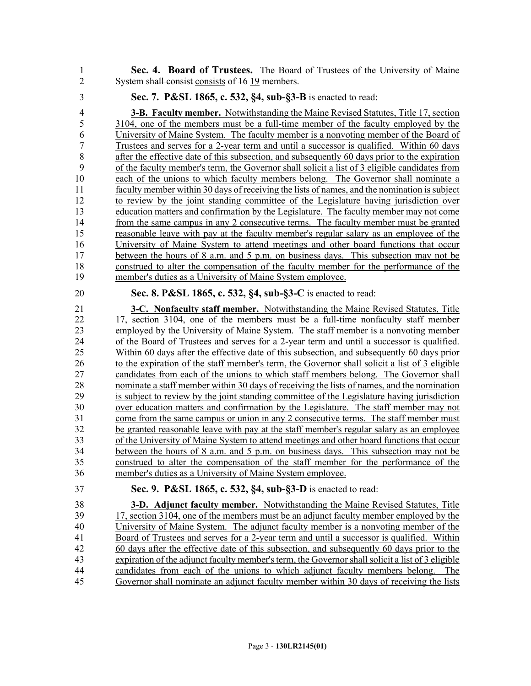1 **Sec. 4. Board of Trustees.** The Board of Trustees of the University of Maine 2 System shall consist consists of 16 19 members.

#### 3 **Sec. 7. P&SL 1865, c. 532, §4, sub-§3-B** is enacted to read:

4 **3-B. Faculty member.** Notwithstanding the Maine Revised Statutes, Title 17, section 5 3104, one of the members must be a full-time member of the faculty employed by the 6 University of Maine System. The faculty member is a nonvoting member of the Board of 7 Trustees and serves for a 2-year term and until a successor is qualified. Within 60 days 8 after the effective date of this subsection, and subsequently 60 days prior to the expiration 9 of the faculty member's term, the Governor shall solicit a list of 3 eligible candidates from 10 each of the unions to which faculty members belong. The Governor shall nominate a 11 faculty member within 30 days of receiving the lists of names, and the nomination is subject 12 to review by the joint standing committee of the Legislature having jurisdiction over 13 education matters and confirmation by the Legislature. The faculty member may not come 14 from the same campus in any 2 consecutive terms. The faculty member must be granted 15 reasonable leave with pay at the faculty member's regular salary as an employee of the 16 University of Maine System to attend meetings and other board functions that occur 17 between the hours of 8 a.m. and 5 p.m. on business days. This subsection may not be 18 construed to alter the compensation of the faculty member for the performance of the 19 member's duties as a University of Maine System employee.

# 20 **Sec. 8. P&SL 1865, c. 532, §4, sub-§3-C** is enacted to read:

21 **3-C. Nonfaculty staff member.** Notwithstanding the Maine Revised Statutes, Title 22 17, section 3104, one of the members must be a full-time nonfaculty staff member 23 employed by the University of Maine System. The staff member is a nonvoting member 24 of the Board of Trustees and serves for a 2-year term and until a successor is qualified. 25 Within 60 days after the effective date of this subsection, and subsequently 60 days prior 26 to the expiration of the staff member's term, the Governor shall solicit a list of 3 eligible 27 candidates from each of the unions to which staff members belong. The Governor shall 28 nominate a staff member within 30 days of receiving the lists of names, and the nomination 29 is subject to review by the joint standing committee of the Legislature having jurisdiction 30 over education matters and confirmation by the Legislature. The staff member may not 31 come from the same campus or union in any 2 consecutive terms. The staff member must 32 be granted reasonable leave with pay at the staff member's regular salary as an employee 33 of the University of Maine System to attend meetings and other board functions that occur 34 between the hours of 8 a.m. and 5 p.m. on business days. This subsection may not be 35 construed to alter the compensation of the staff member for the performance of the 36 member's duties as a University of Maine System employee.

# 37 **Sec. 9. P&SL 1865, c. 532, §4, sub-§3-D** is enacted to read:

38 **3-D. Adjunct faculty member.** Notwithstanding the Maine Revised Statutes, Title 39 17, section 3104, one of the members must be an adjunct faculty member employed by the 40 University of Maine System. The adjunct faculty member is a nonvoting member of the 41 Board of Trustees and serves for a 2-year term and until a successor is qualified. Within 42 60 days after the effective date of this subsection, and subsequently 60 days prior to the 43 expiration of the adjunct faculty member's term, the Governor shall solicit a list of 3 eligible 44 candidates from each of the unions to which adjunct faculty members belong. The 45 Governor shall nominate an adjunct faculty member within 30 days of receiving the lists